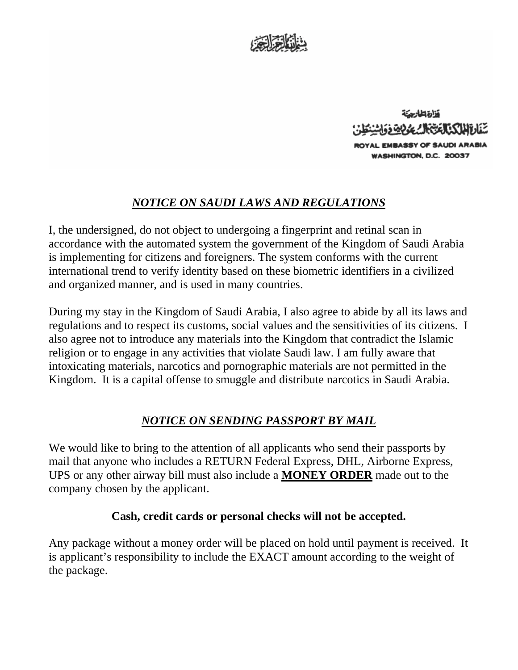



## *NOTICE ON SAUDI LAWS AND REGULATIONS*

I, the undersigned, do not object to undergoing a fingerprint and retinal scan in accordance with the automated system the government of the Kingdom of Saudi Arabia is implementing for citizens and foreigners. The system conforms with the current international trend to verify identity based on these biometric identifiers in a civilized and organized manner, and is used in many countries.

During my stay in the Kingdom of Saudi Arabia, I also agree to abide by all its laws and regulations and to respect its customs, social values and the sensitivities of its citizens. I also agree not to introduce any materials into the Kingdom that contradict the Islamic religion or to engage in any activities that violate Saudi law. I am fully aware that intoxicating materials, narcotics and pornographic materials are not permitted in the Kingdom. It is a capital offense to smuggle and distribute narcotics in Saudi Arabia.

## *NOTICE ON SENDING PASSPORT BY MAIL*

We would like to bring to the attention of all applicants who send their passports by mail that anyone who includes a RETURN Federal Express, DHL, Airborne Express, UPS or any other airway bill must also include a **MONEY ORDER** made out to the company chosen by the applicant.

## **Cash, credit cards or personal checks will not be accepted.**

Any package without a money order will be placed on hold until payment is received. It is applicant's responsibility to include the EXACT amount according to the weight of the package.